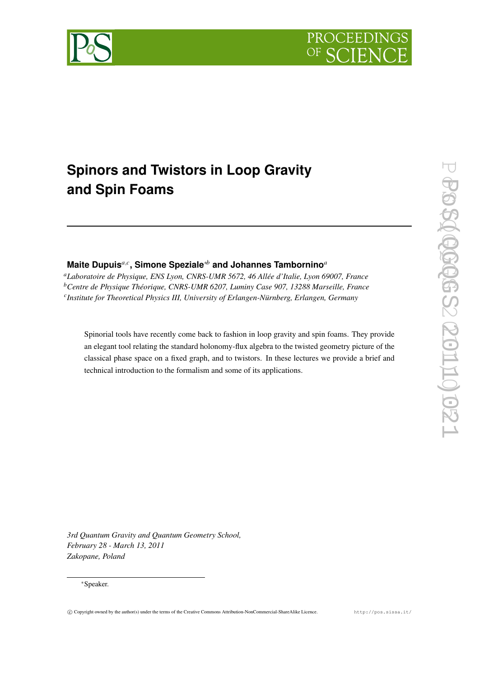



# **Spinors and Twistors in Loop Gravity and Spin Foams**

# **Maite Dupuis***a*,*<sup>c</sup>* **, Simone Speziale**∗*<sup>b</sup>* **and Johannes Tambornino***<sup>a</sup>*

*<sup>a</sup>Laboratoire de Physique, ENS Lyon, CNRS-UMR 5672, 46 Allée d'Italie, Lyon 69007, France <sup>b</sup>Centre de Physique Théorique, CNRS-UMR 6207, Luminy Case 907, 13288 Marseille, France c Institute for Theoretical Physics III, University of Erlangen-Nürnberg, Erlangen, Germany*

Spinorial tools have recently come back to fashion in loop gravity and spin foams. They provide an elegant tool relating the standard holonomy-flux algebra to the twisted geometry picture of the classical phase space on a fixed graph, and to twistors. In these lectures we provide a brief and technical introduction to the formalism and some of its applications.

*3rd Quantum Gravity and Quantum Geometry School, February 28 - March 13, 2011 Zakopane, Poland*

#### <sup>∗</sup>Speaker.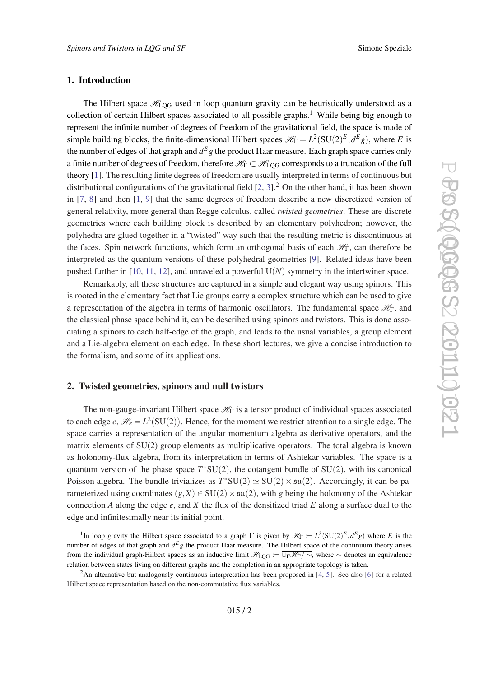#### <span id="page-1-0"></span>1. Introduction

The Hilbert space  $\mathcal{H}_{\text{LOG}}$  used in loop quantum gravity can be heuristically understood as a collection of certain Hilbert spaces associated to all possible graphs.<sup>1</sup> While being big enough to represent the infinite number of degrees of freedom of the gravitational field, the space is made of simple building blocks, the finite-dimensional Hilbert spaces  $\mathcal{H}_{\Gamma} = L^2(SU(2)^E, d^E g)$ , where *E* is the number of edges of that graph and  $d^E g$  the product Haar measure. Each graph space carries only a finite number of degrees of freedom, therefore  $\mathcal{H}_{\Gamma} \subset \mathcal{H}_{\text{LOG}}$  corresponds to a truncation of the full theory [\[1](#page-14-0)]. The resulting finite degrees of freedom are usually interpreted in terms of continuous but distributional configurations of the gravitational field  $[2, 3]$  $[2, 3]$  $[2, 3]$ .<sup>2</sup> On the other hand, it has been shown in [\[7,](#page-14-0) [8](#page-14-0)] and then [\[1,](#page-14-0) [9](#page-14-0)] that the same degrees of freedom describe a new discretized version of general relativity, more general than Regge calculus, called *twisted geometries*. These are discrete geometries where each building block is described by an elementary polyhedron; however, the polyhedra are glued together in a "twisted" way such that the resulting metric is discontinuous at the faces. Spin network functions, which form an orthogonal basis of each  $\mathcal{H}_{\Gamma}$ , can therefore be interpreted as the quantum versions of these polyhedral geometries [[9](#page-14-0)]. Related ideas have been pushed further in [\[10](#page-14-0), [11,](#page-14-0) [12\]](#page-14-0), and unraveled a powerful U(*N*) symmetry in the intertwiner space.

Remarkably, all these structures are captured in a simple and elegant way using spinors. This is rooted in the elementary fact that Lie groups carry a complex structure which can be used to give a representation of the algebra in terms of harmonic oscillators. The fundamental space  $\mathcal{H}_{\Gamma}$ , and the classical phase space behind it, can be described using spinors and twistors. This is done associating a spinors to each half-edge of the graph, and leads to the usual variables, a group element and a Lie-algebra element on each edge. In these short lectures, we give a concise introduction to the formalism, and some of its applications.

#### 2. Twisted geometries, spinors and null twistors

The non-gauge-invariant Hilbert space  $\mathcal{H}_{\Gamma}$  is a tensor product of individual spaces associated to each edge  $e$ ,  $\mathcal{H}_e = L^2(SU(2))$ . Hence, for the moment we restrict attention to a single edge. The space carries a representation of the angular momentum algebra as derivative operators, and the matrix elements of SU(2) group elements as multiplicative operators. The total algebra is known as holonomy-flux algebra, from its interpretation in terms of Ashtekar variables. The space is a quantum version of the phase space  $T^*SU(2)$ , the cotangent bundle of  $SU(2)$ , with its canonical Poisson algebra. The bundle trivializes as  $T^*SU(2) \simeq SU(2) \times SU(2)$ . Accordingly, it can be parameterized using coordinates  $(g, X) \in SU(2) \times SU(2)$ , with g being the holonomy of the Ashtekar connection *A* along the edge *e*, and *X* the flux of the densitized triad *E* along a surface dual to the edge and infinitesimally near its initial point.

<sup>&</sup>lt;sup>1</sup>In loop gravity the Hilbert space associated to a graph  $\Gamma$  is given by  $\mathcal{H}_{\Gamma} := L^2(\mathrm{SU}(2)^E, d^E g)$  where *E* is the number of edges of that graph and  $d^E g$  the product Haar measure. The Hilbert space of the continuum theory arises from the individual graph-Hilbert spaces as an inductive limit  $\mathcal{H}_{\text{LOG}} := \overline{\cup_{\Gamma} \mathcal{H}_{\Gamma}/\sim}$ , where  $\sim$  denotes an equivalence relation between states living on different graphs and the completion in an appropriate topology is taken.

<sup>&</sup>lt;sup>2</sup>An alternative but analogously continuous interpretation has been proposed in [[4](#page-14-0), [5](#page-14-0)]. See also [[6](#page-14-0)] for a related Hilbert space representation based on the non-commutative flux variables.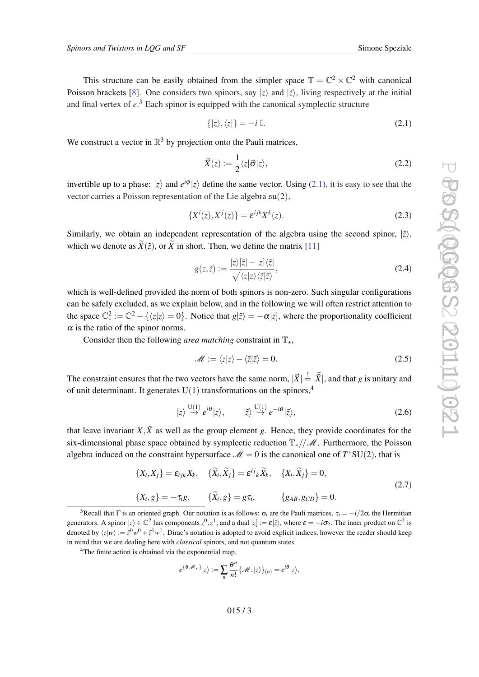<span id="page-2-0"></span>This structure can be easily obtained from the simpler space  $\mathbb{T} = \mathbb{C}^2 \times \mathbb{C}^2$  with canonical Poisson brackets [[8](#page-14-0)]. One considers two spinors, say  $|z\rangle$  and  $|\tilde{z}\rangle$ , living respectively at the initial and final vertex of *e*. <sup>3</sup> Each spinor is equipped with the canonical symplectic structure

$$
\{|z\rangle, \langle z|\} = -i \mathbb{I}.\tag{2.1}
$$

We construct a vector in  $\mathbb{R}^3$  by projection onto the Pauli matrices,

$$
\vec{X}(z) := \frac{1}{2} \langle z | \vec{\sigma} | z \rangle,\tag{2.2}
$$

invertible up to a phase:  $|z\rangle$  and  $e^{i\varphi}|z\rangle$  define the same vector. Using (2.1), it is easy to see that the vector carries a Poisson representation of the Lie algebra su(2),

$$
\{X^i(z), X^j(z)\} = \varepsilon^{ijk} X^k(z). \tag{2.3}
$$

Similarly, we obtain an independent representation of the algebra using the second spinor,  $|\tilde{z}\rangle$ , which we denote as  $\widetilde{X}(\widetilde{z})$ , or  $\widetilde{X}$  in short. Then, we define the matrix [[11\]](#page-14-0)

$$
g(z,\tilde{z}) := \frac{|z\rangle[\tilde{z}| - |z|\langle\tilde{z}|}{\sqrt{\langle z|z\rangle\langle\tilde{z}|\tilde{z}\rangle}},\tag{2.4}
$$

which is well-defined provided the norm of both spinors is non-zero. Such singular configurations can be safely excluded, as we explain below, and in the following we will often restrict attention to the space  $\mathbb{C}^2_* := \mathbb{C}^2 - \{\langle z|z\rangle = 0\}$ . Notice that  $g|\tilde{z}\rangle = -\alpha|z|$ , where the proportionality coefficient  $\alpha$  is the ratio of the spinor norms.

Consider then the following *area matching* constraint in  $\mathbb{T}_*$ ,

$$
\mathcal{M} := \langle z | z \rangle - \langle \tilde{z} | \tilde{z} \rangle = 0. \tag{2.5}
$$

The constraint ensures that the two vectors have the same norm,  $|\vec{X}| = |\vec{X}|$ , and that *g* is unitary and of unit determinant. It generates  $U(1)$  transformations on the spinors.<sup>4</sup>

$$
|z\rangle \stackrel{\mathrm{U}(1)}{\rightarrow} e^{i\theta} |z\rangle, \qquad |\tilde{z}\rangle \stackrel{\mathrm{U}(1)}{\rightarrow} e^{-i\theta} |\tilde{z}\rangle, \tag{2.6}
$$

that leave invariant  $X, \tilde{X}$  as well as the group element g. Hence, they provide coordinates for the six-dimensional phase space obtained by symplectic reduction  $\mathbb{T}_*/\mathcal{M}$ . Furthermore, the Poisson algebra induced on the constraint hypersurface  $\mathcal{M} = 0$  is the canonical one of  $T^*SU(2)$ , that is

$$
\{X_i, X_j\} = \varepsilon_{ijk} X_k, \quad \{\widetilde{X}_i, \widetilde{X}_j\} = \varepsilon^{ij}{}_k \widetilde{X}_k, \quad \{X_i, \widetilde{X}_j\} = 0,
$$
  

$$
\{X_i, g\} = -\tau_i g, \quad \{\widetilde{X}_i, g\} = g\tau_i, \quad \{g_{AB}, g_{CD}\} = 0.
$$
 (2.7)

<sup>3</sup>Recall that  $\Gamma$  is an oriented graph. Our notation is as follows:  $\sigma_i$  are the Pauli matrices,  $\tau_i = -i/2\sigma_i$  the Hermitian generators. A spinor  $|z\rangle \in \mathbb{C}^2$  has components  $z^0, z^1$ , and a dual  $|z| := \varepsilon |\bar{z}\rangle$ , where  $\varepsilon = -i\sigma_2$ . The inner product on  $\mathbb{C}^2$  is denoted by  $\langle z|w\rangle := \bar{z}^0w^0 + \bar{z}^1w^1$ . Dirac's notation is adopted to avoid explicit indices, however the reader should keep in mind that we are dealing here with *classical* spinors, and not quantum states.

$$
e^{\{\theta\mathscr{M},\cdot\}}|z\rangle := \sum_{n}\frac{\theta^n}{n!}\{\mathscr{M},|z\rangle\}_{(n)} = e^{i\theta}|z\rangle.
$$

<sup>&</sup>lt;sup>4</sup>The finite action is obtained via the exponential map,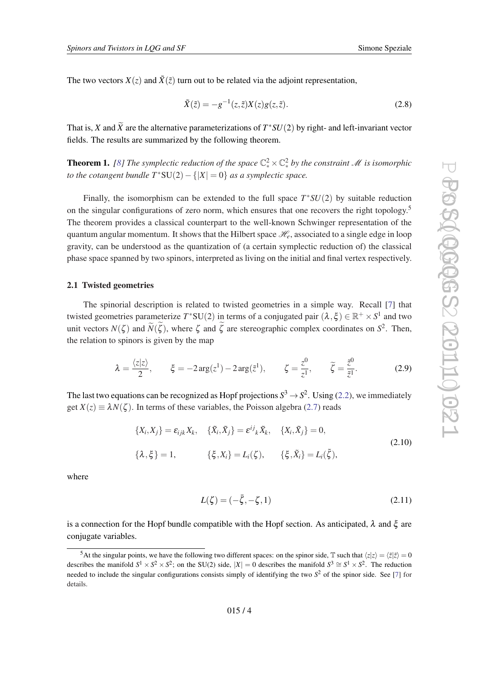<span id="page-3-0"></span>The two vectors  $X(z)$  and  $\tilde{X}(\tilde{z})$  turn out to be related via the adjoint representation,

$$
\tilde{X}(\tilde{z}) = -g^{-1}(z, \tilde{z})X(z)g(z, \tilde{z}).
$$
\n(2.8)

That is, *X* and  $\tilde{X}$  are the alternative parameterizations of  $T^*SU(2)$  by right- and left-invariant vector fields. The results are summarized by the following theorem.

**Theorem 1.** [\[8\]](#page-14-0) The symplectic reduction of the space  $\mathbb{C}_{*}^{2}\times\mathbb{C}_{*}^{2}$  by the constraint M is isomorphic *to the cotangent bundle*  $T^*SU(2) - \{|X| = 0\}$  *as a symplectic space.* 

Finally, the isomorphism can be extended to the full space  $T^*SU(2)$  by suitable reduction on the singular configurations of zero norm, which ensures that one recovers the right topology.<sup>5</sup> The theorem provides a classical counterpart to the well-known Schwinger representation of the quantum angular momentum. It shows that the Hilbert space  $\mathcal{H}_e$ , associated to a single edge in loop gravity, can be understood as the quantization of (a certain symplectic reduction of) the classical phase space spanned by two spinors, interpreted as living on the initial and final vertex respectively.

#### 2.1 Twisted geometries

The spinorial description is related to twisted geometries in a simple way. Recall [\[7\]](#page-14-0) that twisted geometries parameterize  $T^*SU(2)$  in terms of a conjugated pair  $(\lambda, \xi) \in \mathbb{R}^+ \times S^1$  and two unit vectors  $N(\zeta)$  and  $\widetilde{N}(\zeta)$ , where  $\zeta$  and  $\zeta$  are stereographic complex coordinates on  $S^2$ . Then, the relation to spinors is given by the map

$$
\lambda = \frac{\langle z|z \rangle}{2}, \qquad \xi = -2\arg(z^1) - 2\arg(\tilde{z}^1), \qquad \zeta = \frac{z^0}{z^1}, \qquad \widetilde{\zeta} = \frac{\tilde{z}^0}{\tilde{z}^1}.
$$
 (2.9)

The last two equations can be recognized as Hopf projections  $S^3 \to S^2$ . Using [\(2.2\)](#page-2-0), we immediately get  $X(z) \equiv \lambda N(\zeta)$ . In terms of these variables, the Poisson algebra [\(2.7\)](#page-2-0) reads

$$
\{X_i, X_j\} = \varepsilon_{ijk} X_k, \quad \{\tilde{X}_i, \tilde{X}_j\} = \varepsilon^{ij}{}_k \tilde{X}_k, \quad \{X_i, \tilde{X}_j\} = 0,
$$
\n
$$
\{\lambda, \xi\} = 1, \quad \{\xi, X_i\} = L_i(\zeta), \quad \{\xi, \tilde{X}_i\} = L_i(\tilde{\zeta}),
$$
\n(2.10)

where

$$
L(\zeta) = (-\bar{\zeta}, -\zeta, 1) \tag{2.11}
$$

is a connection for the Hopf bundle compatible with the Hopf section. As anticipated,  $\lambda$  and  $\xi$  are conjugate variables.

<sup>&</sup>lt;sup>5</sup>At the singular points, we have the following two different spaces: on the spinor side,  $\mathbb{T}$  such that  $\langle z|z \rangle = \langle \bar{z}|\bar{z} \rangle = 0$ describes the manifold  $S^1 \times S^2 \times S^2$ ; on the SU(2) side,  $|X| = 0$  describes the manifold  $S^3 \cong S^1 \times S^2$ . The reduction needed to include the singular configurations consists simply of identifying the two  $S<sup>2</sup>$  of the spinor side. See [\[7\]](#page-14-0) for details.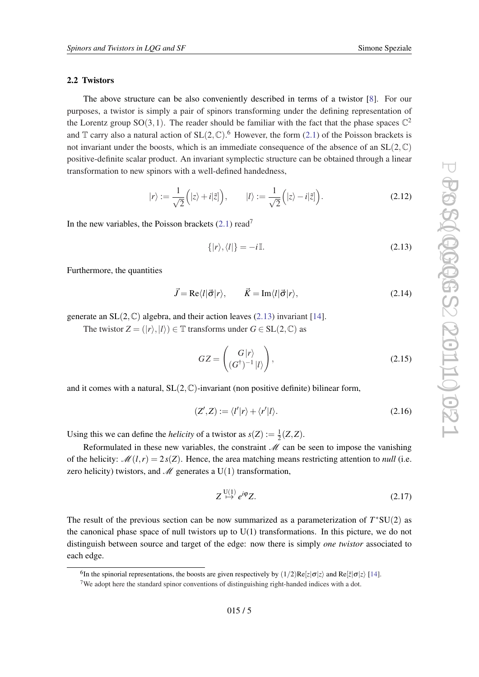#### 2.2 Twistors

The above structure can be also conveniently described in terms of a twistor [[8](#page-14-0)]. For our purposes, a twistor is simply a pair of spinors transforming under the defining representation of the Lorentz group SO(3,1). The reader should be familiar with the fact that the phase spaces  $\mathbb{C}^2$ and  $\mathbb T$  carry also a natural action of  $SL(2,\mathbb C)$ .<sup>6</sup> However, the form ([2.1\)](#page-2-0) of the Poisson brackets is not invariant under the boosts, which is an immediate consequence of the absence of an  $SL(2,\mathbb{C})$ positive-definite scalar product. An invariant symplectic structure can be obtained through a linear transformation to new spinors with a well-defined handedness,

$$
|r\rangle := \frac{1}{\sqrt{2}}\Big(|z\rangle + i|\tilde{z}|\Big), \qquad |l\rangle := \frac{1}{\sqrt{2}}\Big(|z\rangle - i|\tilde{z}|\Big). \tag{2.12}
$$

In the new variables, the Poisson brackets  $(2.1)$  $(2.1)$  $(2.1)$  read<sup>7</sup>

$$
\{|r\rangle, \langle l|\} = -i\mathbb{I}.\tag{2.13}
$$

Furthermore, the quantities

$$
\vec{J} = \text{Re}\langle l|\vec{\sigma}|r\rangle, \qquad \vec{K} = \text{Im}\langle l|\vec{\sigma}|r\rangle, \tag{2.14}
$$

generate an  $SL(2, \mathbb{C})$  algebra, and their action leaves (2.13) invariant [[14\]](#page-14-0).

The twistor  $Z = (|r\rangle, |l\rangle) \in \mathbb{T}$  transforms under  $G \in SL(2, \mathbb{C})$  as

$$
GZ = \begin{pmatrix} G|r\rangle \\ (G^{\dagger})^{-1}|l\rangle \end{pmatrix},\tag{2.15}
$$

and it comes with a natural,  $SL(2,\mathbb{C})$ -invariant (non positive definite) bilinear form,

$$
(Z',Z) := \langle l'|r \rangle + \langle r'|l \rangle. \tag{2.16}
$$

Using this we can define the *helicity* of a twistor as  $s(Z) := \frac{1}{2}$  $\frac{1}{2}(Z,\bar{Z}).$ 

Reformulated in these new variables, the constraint  $M$  can be seen to impose the vanishing of the helicity:  $\mathcal{M}(l,r) = 2s(Z)$ . Hence, the area matching means restricting attention to *null* (i.e. zero helicity) twistors, and  $\mathcal M$  generates a U(1) transformation,

$$
Z \stackrel{\mathrm{U}(1)}{\mapsto} e^{i\varphi} Z. \tag{2.17}
$$

The result of the previous section can be now summarized as a parameterization of  $T^*SU(2)$  as the canonical phase space of null twistors up to  $U(1)$  transformations. In this picture, we do not distinguish between source and target of the edge: now there is simply *one twistor* associated to each edge.

<sup>&</sup>lt;sup>6</sup>In the spinorial representations, the boosts are given respectively by  $(1/2)Re[z|\sigma|z\rangle$  and  $Re[\tilde{z}|\sigma|z\rangle$  [\[14](#page-14-0)].

<sup>7</sup>We adopt here the standard spinor conventions of distinguishing right-handed indices with a dot.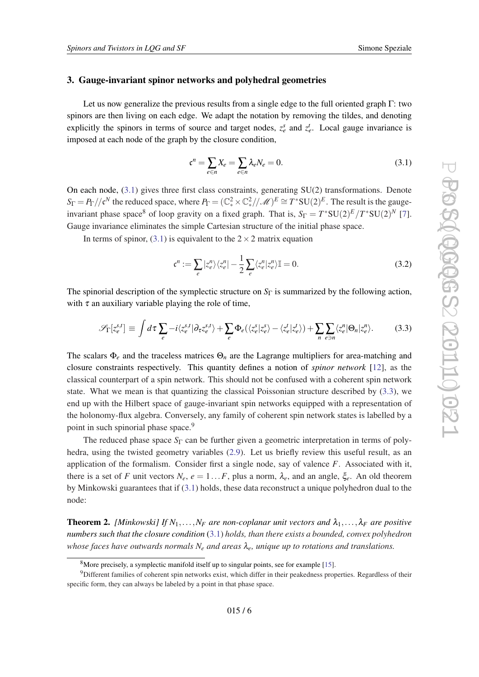#### <span id="page-5-0"></span>3. Gauge-invariant spinor networks and polyhedral geometries

Let us now generalize the previous results from a single edge to the full oriented graph  $\Gamma$ : two spinors are then living on each edge. We adapt the notation by removing the tildes, and denoting explicitly the spinors in terms of source and target nodes,  $z_e^s$  and  $z_e^t$ . Local gauge invariance is imposed at each node of the graph by the closure condition,

$$
\mathfrak{c}^n = \sum_{e \in n} X_e = \sum_{e \in n} \lambda_e N_e = 0. \tag{3.1}
$$

On each node,  $(3.1)$  gives three first class constraints, generating  $SU(2)$  transformations. Denote  $S_{\Gamma} = P_{\Gamma}/\ell^N$  the reduced space, where  $P_{\Gamma} = (\mathbb{C}_*^2 \times \mathbb{C}_*^2)/\mathscr{M})^E \cong T^* \text{SU}(2)^E$ . The result is the gaugeinvariant phase space<sup>8</sup> of loop gravity on a fixed graph. That is,  $S_{\Gamma} = T^*SU(2)^E/T^*SU(2)^N$  [\[7\]](#page-14-0). Gauge invariance eliminates the simple Cartesian structure of the initial phase space.

In terms of spinor, (3.1) is equivalent to the  $2 \times 2$  matrix equation

$$
\mathfrak{c}^n := \sum_e |z_e^n\rangle \langle z_e^n| - \frac{1}{2} \sum_e \langle z_e^n | z_e^n \rangle \mathbb{I} = 0. \tag{3.2}
$$

The spinorial description of the symplectic structure on  $S_{\Gamma}$  is summarized by the following action, with  $\tau$  an auxiliary variable playing the role of time,

$$
\mathscr{S}_{\Gamma}[z_e^{s,t}] \equiv \int d\tau \sum_e -i \langle z_e^{s,t} | \partial_{\tau} z_e^{s,t} \rangle + \sum_e \Phi_e(\langle z_e^s | z_e^s \rangle - \langle z_e^t | z_e^t \rangle) + \sum_n \sum_{e \ni n} \langle z_e^n | \Theta_n | z_e^n \rangle. \tag{3.3}
$$

The scalars Φ*<sup>e</sup>* and the traceless matrices Θ*<sup>n</sup>* are the Lagrange multipliers for area-matching and closure constraints respectively. This quantity defines a notion of *spinor network* [\[12](#page-14-0)], as the classical counterpart of a spin network. This should not be confused with a coherent spin network state. What we mean is that quantizing the classical Poissonian structure described by (3.3), we end up with the Hilbert space of gauge-invariant spin networks equipped with a representation of the holonomy-flux algebra. Conversely, any family of coherent spin network states is labelled by a point in such spinorial phase space.<sup>9</sup>

The reduced phase space  $S_{\Gamma}$  can be further given a geometric interpretation in terms of polyhedra, using the twisted geometry variables [\(2.9\)](#page-3-0). Let us briefly review this useful result, as an application of the formalism. Consider first a single node, say of valence *F*. Associated with it, there is a set of *F* unit vectors  $N_e$ ,  $e = 1...F$ , plus a norm,  $\lambda_e$ , and an angle,  $\xi_e$ . An old theorem by Minkowski guarantees that if (3.1) holds, these data reconstruct a unique polyhedron dual to the node:

**Theorem 2.** *[Minkowski] If*  $N_1, \ldots, N_F$  *are non-coplanar unit vectors and*  $\lambda_1, \ldots, \lambda_F$  *are positive numbers such that the closure condition* (3.1) *holds, than there exists a bounded, convex polyhedron whose faces have outwards normals N<sup>e</sup> and areas* λ*e, unique up to rotations and translations.*

<sup>8</sup>More precisely, a symplectic manifold itself up to singular points, see for example [[15](#page-14-0)].

<sup>9</sup>Different families of coherent spin networks exist, which differ in their peakedness properties. Regardless of their specific form, they can always be labeled by a point in that phase space.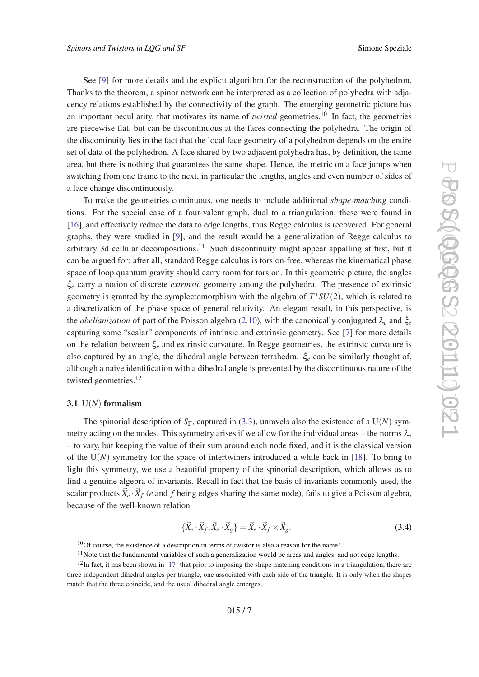<span id="page-6-0"></span>See [[9\]](#page-14-0) for more details and the explicit algorithm for the reconstruction of the polyhedron. Thanks to the theorem, a spinor network can be interpreted as a collection of polyhedra with adjacency relations established by the connectivity of the graph. The emerging geometric picture has an important peculiarity, that motivates its name of *twisted* geometries.<sup>10</sup> In fact, the geometries are piecewise flat, but can be discontinuous at the faces connecting the polyhedra. The origin of the discontinuity lies in the fact that the local face geometry of a polyhedron depends on the entire set of data of the polyhedron. A face shared by two adjacent polyhedra has, by definition, the same area, but there is nothing that guarantees the same shape. Hence, the metric on a face jumps when switching from one frame to the next, in particular the lengths, angles and even number of sides of a face change discontinuously.

To make the geometries continuous, one needs to include additional *shape-matching* conditions. For the special case of a four-valent graph, dual to a triangulation, these were found in [[16\]](#page-14-0), and effectively reduce the data to edge lengths, thus Regge calculus is recovered. For general graphs, they were studied in [\[9\]](#page-14-0), and the result would be a generalization of Regge calculus to arbitrary 3d cellular decompositions.<sup>11</sup> Such discontinuity might appear appalling at first, but it can be argued for: after all, standard Regge calculus is torsion-free, whereas the kinematical phase space of loop quantum gravity should carry room for torsion. In this geometric picture, the angles ξ*<sup>e</sup>* carry a notion of discrete *extrinsic* geometry among the polyhedra. The presence of extrinsic geometry is granted by the symplectomorphism with the algebra of *T* <sup>∗</sup>*SU*(2), which is related to a discretization of the phase space of general relativity. An elegant result, in this perspective, is the *abelianization* of part of the Poisson algebra [\(2.10](#page-3-0)), with the canonically conjugated λ*<sup>e</sup>* and ξ*<sup>e</sup>* capturing some "scalar" components of intrinsic and extrinsic geometry. See [[7](#page-14-0)] for more details on the relation between ξ*<sup>e</sup>* and extrinsic curvature. In Regge geometries, the extrinsic curvature is also captured by an angle, the dihedral angle between tetrahedra. ξ*<sup>e</sup>* can be similarly thought of, although a naive identification with a dihedral angle is prevented by the discontinuous nature of the twisted geometries.<sup>12</sup>

#### 3.1 U(*N*) formalism

The spinorial description of  $S_{\Gamma}$ , captured in [\(3.3\)](#page-5-0), unravels also the existence of a U(*N*) symmetry acting on the nodes. This symmetry arises if we allow for the individual areas – the norms  $\lambda_e$ – to vary, but keeping the value of their sum around each node fixed, and it is the classical version of the  $U(N)$  symmetry for the space of intertwiners introduced a while back in [\[18](#page-14-0)]. To bring to light this symmetry, we use a beautiful property of the spinorial description, which allows us to find a genuine algebra of invariants. Recall in fact that the basis of invariants commonly used, the scalar products  $\vec{X}_e \cdot \vec{X}_f$  (*e* and *f* being edges sharing the same node), fails to give a Poisson algebra, because of the well-known relation

$$
\{\vec{X}_e \cdot \vec{X}_f, \vec{X}_e \cdot \vec{X}_g\} = \vec{X}_e \cdot \vec{X}_f \times \vec{X}_g.
$$
\n(3.4)

 $10$ Of course, the existence of a description in terms of twistor is also a reason for the name!

 $11$ Note that the fundamental variables of such a generalization would be areas and angles, and not edge lengths.

 $12$ In fact, it has been shown in [\[17](#page-14-0)] that prior to imposing the shape matching conditions in a triangulation, there are three independent dihedral angles per triangle, one associated with each side of the triangle. It is only when the shapes match that the three coincide, and the usual dihedral angle emerges.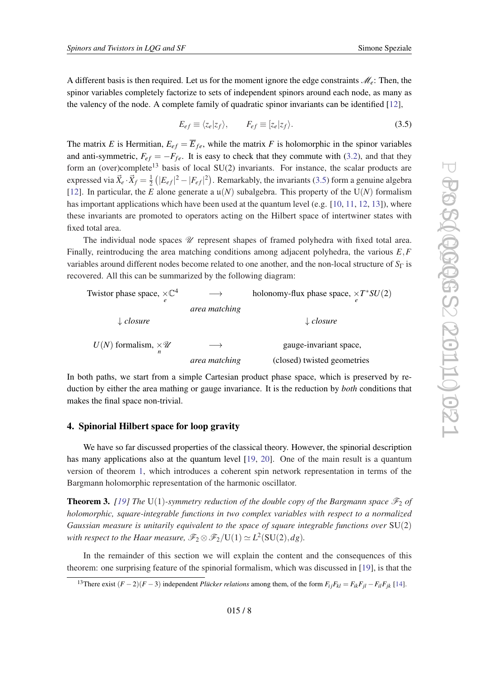A different basis is then required. Let us for the moment ignore the edge constraints  $\mathcal{M}_e$ : Then, the spinor variables completely factorize to sets of independent spinors around each node, as many as the valency of the node. A complete family of quadratic spinor invariants can be identified [[12\]](#page-14-0),

$$
E_{ef} \equiv \langle z_e | z_f \rangle, \qquad F_{ef} \equiv [z_e | z_f \rangle. \tag{3.5}
$$

The matrix *E* is Hermitian,  $E_{ef} = \overline{E}_{fe}$ , while the matrix *F* is holomorphic in the spinor variables and anti-symmetric,  $F_{ef} = -F_{fe}$ . It is easy to check that they commute with ([3.2](#page-5-0)), and that they form an (over)complete<sup>13</sup> basis of local SU(2) invariants. For instance, the scalar products are expressed via  $\vec{X}_e \cdot \vec{X}_f = \frac{1}{2}$  $\frac{1}{2}$  ( $|E_{ef}|^2 - |F_{ef}|^2$ ). Remarkably, the invariants (3.5) form a genuine algebra [[12\]](#page-14-0). In particular, the *E* alone generate a  $\mu(N)$  subalgebra. This property of the  $U(N)$  formalism has important applications which have been used at the quantum level (e.g.  $[10, 11, 12, 13]$  $[10, 11, 12, 13]$  $[10, 11, 12, 13]$  $[10, 11, 12, 13]$  $[10, 11, 12, 13]$  $[10, 11, 12, 13]$  $[10, 11, 12, 13]$  $[10, 11, 12, 13]$ ), where these invariants are promoted to operators acting on the Hilbert space of intertwiner states with fixed total area.

The individual node spaces  $\mathcal U$  represent shapes of framed polyhedra with fixed total area. Finally, reintroducing the area matching conditions among adjacent polyhedra, the various *E*,*F* variables around different nodes become related to one another, and the non-local structure of *S*<sup>Γ</sup> is recovered. All this can be summarized by the following diagram:

| Twistor phase space, $\times \mathbb{C}^4$  |               | holonomy-flux phase space, $\times T^*SU(2)$ |
|---------------------------------------------|---------------|----------------------------------------------|
|                                             | area matching |                                              |
| $\downarrow$ closure                        |               | $\downarrow$ closure                         |
| $U(N)$ formalism, $\times \mathscr{U}$<br>n |               | gauge-invariant space,                       |
|                                             | area matching | (closed) twisted geometries                  |

In both paths, we start from a simple Cartesian product phase space, which is preserved by reduction by either the area mathing or gauge invariance. It is the reduction by *both* conditions that makes the final space non-trivial.

### 4. Spinorial Hilbert space for loop gravity

We have so far discussed properties of the classical theory. However, the spinorial description has many applications also at the quantum level [[19,](#page-14-0) [20](#page-14-0)]. One of the main result is a quantum version of theorem [1](#page-3-0), which introduces a coherent spin network representation in terms of the Bargmann holomorphic representation of the harmonic oscillator.

**Theorem 3.** [\[19\]](#page-14-0) The U(1)-symmetry reduction of the double copy of the Bargmann space  $\mathcal{F}_2$  of *holomorphic, square-integrable functions in two complex variables with respect to a normalized Gaussian measure is unitarily equivalent to the space of square integrable functions over* SU(2) with respect to the Haar measure,  $\mathscr{F}_2 \otimes \mathscr{F}_2 / \mathrm{U}(1) \simeq L^2(\mathrm{SU}(2),dg)$ .

In the remainder of this section we will explain the content and the consequences of this theorem: one surprising feature of the spinorial formalism, which was discussed in [[19\]](#page-14-0), is that the

<sup>&</sup>lt;sup>13</sup>There exist  $(F-2)(F-3)$  independent *Plücker relations* among them, of the form  $F_{ij}F_{kl} = F_{ik}F_{jl} - F_{il}F_{jk}$  [[14\]](#page-14-0).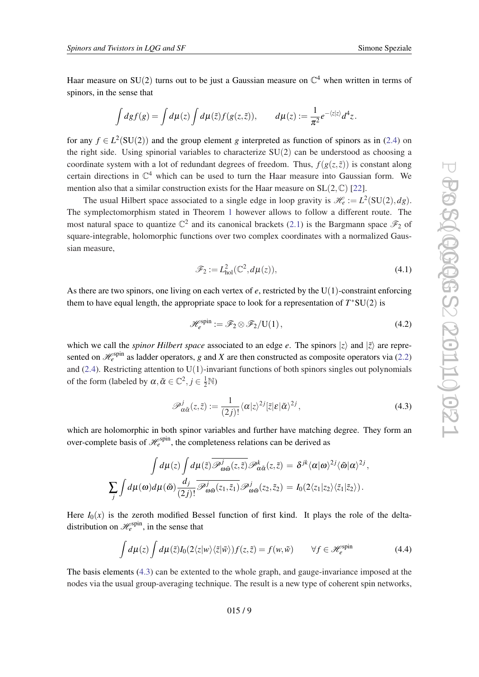<span id="page-8-0"></span>Haar measure on SU(2) turns out to be just a Gaussian measure on  $\mathbb{C}^4$  when written in terms of spinors, in the sense that

$$
\int dg f(g) = \int d\mu(z) \int d\mu(\tilde{z}) f(g(z, \tilde{z})), \qquad d\mu(z) := \frac{1}{\pi^2} e^{-\langle z|z\rangle} d^4 z.
$$

for any  $f \in L^2(SU(2))$  and the group element *g* interpreted as function of spinors as in [\(2.4\)](#page-2-0) on the right side. Using spinorial variables to characterize SU(2) can be understood as choosing a coordinate system with a lot of redundant degrees of freedom. Thus,  $f(g(z, \tilde{z}))$  is constant along certain directions in  $\mathbb{C}^4$  which can be used to turn the Haar measure into Gaussian form. We mention also that a similar construction exists for the Haar measure on  $SL(2,\mathbb{C})$  [\[22](#page-15-0)].

The usual Hilbert space associated to a single edge in loop gravity is  $\mathcal{H}_e := L^2(SU(2), dg)$ . The symplectomorphism stated in Theorem [1](#page-3-0) however allows to follow a different route. The most natural space to quantize  $\mathbb{C}^2$  and its canonical brackets [\(2.1\)](#page-2-0) is the Bargmann space  $\mathscr{F}_2$  of square-integrable, holomorphic functions over two complex coordinates with a normalized Gaussian measure,

$$
\mathcal{F}_2 := L^2_{hol}(\mathbb{C}^2, d\mu(z)),\tag{4.1}
$$

As there are two spinors, one living on each vertex of *e*, restricted by the U(1)-constraint enforcing them to have equal length, the appropriate space to look for a representation of  $T^*SU(2)$  is

$$
\mathcal{H}_e^{\text{spin}} := \mathcal{F}_2 \otimes \mathcal{F}_2 / U(1),\tag{4.2}
$$

which we call the *spinor Hilbert space* associated to an edge *e*. The spinors  $|z\rangle$  and  $|\tilde{z}\rangle$  are represented on  $\mathcal{H}_e^{\text{spin}}$  as ladder operators, *g* and *X* are then constructed as composite operators via ([2.2](#page-2-0)) and [\(2.4\)](#page-2-0). Restricting attention to  $U(1)$ -invariant functions of both spinors singles out polynomials of the form (labeled by  $\alpha, \tilde{\alpha} \in \mathbb{C}^2, j \in \frac{1}{2}\mathbb{N}$ )

$$
\mathscr{P}_{\alpha\tilde{\alpha}}^{j}(z,\tilde{z}) := \frac{1}{(2j)!} \langle \alpha | z \rangle^{2j} [\tilde{z} | \varepsilon | \tilde{\alpha} \rangle^{2j}, \qquad (4.3)
$$

which are holomorphic in both spinor variables and further have matching degree. They form an over-complete basis of  $\mathcal{H}_e^{spin}$ , the completeness relations can be derived as

$$
\int d\mu(z) \int d\mu(\tilde{z}) \overline{\mathscr{P}_{\omega\tilde{\omega}}^{j}(z,\tilde{z})} \mathscr{P}_{\alpha\tilde{\alpha}}^{k}(z,\tilde{z}) = \delta^{jk} \langle \alpha | \omega \rangle^{2j} \langle \tilde{\omega} | \alpha \rangle^{2j},
$$
  

$$
\sum_{j} \int d\mu(\omega) d\mu(\tilde{\omega}) \frac{d_{j}}{(2j)!} \overline{\mathscr{P}_{\omega\tilde{\omega}}^{j}(z_{1},\tilde{z}_{1})} \mathscr{P}_{\omega\tilde{\omega}}^{j}(z_{2},\tilde{z}_{2}) = I_{0}(2\langle z_{1} | z_{2} \rangle \langle \tilde{z}_{1} | \tilde{z}_{2} \rangle).
$$

Here  $I_0(x)$  is the zeroth modified Bessel function of first kind. It plays the role of the deltadistribution on  $\mathcal{H}_e^{\text{spin}}$ , in the sense that

$$
\int d\mu(z) \int d\mu(\tilde{z}) I_0(2\langle z|w\rangle\langle\tilde{z}|\tilde{w}\rangle) f(z,\tilde{z}) = f(w,\tilde{w}) \qquad \forall f \in \mathscr{H}_e^{\text{spin}} \tag{4.4}
$$

The basis elements (4.3) can be extented to the whole graph, and gauge-invariance imposed at the nodes via the usual group-averaging technique. The result is a new type of coherent spin networks,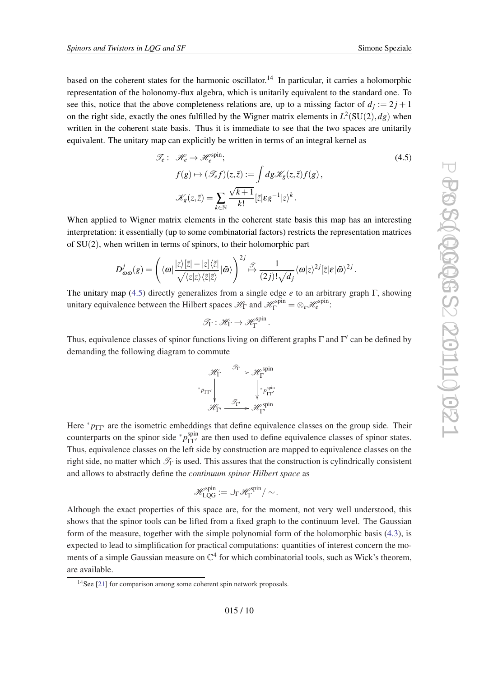based on the coherent states for the harmonic oscillator.<sup>14</sup> In particular, it carries a holomorphic representation of the holonomy-flux algebra, which is unitarily equivalent to the standard one. To see this, notice that the above completeness relations are, up to a missing factor of  $d_j := 2j + 1$ on the right side, exactly the ones fulfilled by the Wigner matrix elements in  $L^2(SU(2),dg)$  when written in the coherent state basis. Thus it is immediate to see that the two spaces are unitarily equivalent. The unitary map can explicitly be written in terms of an integral kernel as

$$
\mathcal{F}_e: \mathcal{H}_e \to \mathcal{H}_e^{\text{spin}}; \nf(g) \mapsto (\mathcal{F}_e f)(z, \tilde{z}) := \int dg \mathcal{K}_g(z, \tilde{z}) f(g), \mathcal{K}_g(z, \tilde{z}) = \sum_{k \in \mathbb{N}} \frac{\sqrt{k+1}}{k!} [\tilde{z}| \varepsilon g^{-1} | z \rangle^k.
$$
\n(4.5)

When applied to Wigner matrix elements in the coherent state basis this map has an interesting interpretation: it essentially (up to some combinatorial factors) restricts the representation matrices of SU(2), when written in terms of spinors, to their holomorphic part

$$
D_{\omega\tilde{\omega}}^{j}(g) = \left( \langle \omega | \frac{|z\rangle[\tilde{z}| - |z]\langle\tilde{z}|}{\sqrt{\langle z|z\rangle\langle\tilde{z}|\tilde{z}\rangle}} | \tilde{\omega} \rangle \right)^{2j} \stackrel{\mathcal{J}}{\mapsto} \frac{1}{(2j)! \sqrt{d_j}} \langle \omega | z \rangle^{2j} [\tilde{z}| \varepsilon | \tilde{\omega} \rangle^{2j}.
$$

The unitary map (4.5) directly generalizes from a single edge *e* to an arbitrary graph Γ, showing unitary equivalence between the Hilbert spaces  $\mathcal{H}_{\Gamma}$  and  $\mathcal{H}_{\Gamma}^{spin} = \otimes_e \mathcal{H}_e^{spin}$ :

$$
\mathscr{T}_{\Gamma} : \mathscr{H}_{\Gamma} \to \mathscr{H}_{\Gamma}^{\text{spin}}.
$$

Thus, equivalence classes of spinor functions living on different graphs  $\Gamma$  and  $\Gamma'$  can be defined by demanding the following diagram to commute

$$
\mathcal{H}_{\Gamma} \xrightarrow{\mathcal{F}_{\Gamma}} \mathcal{H}_{\Gamma}^{\text{spin}}
$$
\n
$$
\downarrow^* p_{\Gamma \Gamma'} \downarrow^* p_{\Gamma \Gamma'}^{\text{spin}}
$$
\n
$$
\mathcal{H}_{\Gamma'} \xrightarrow{\mathcal{F}_{\Gamma'}} \mathcal{H}_{\Gamma'}^{\text{spin}}
$$

Here  $* p_{\Gamma\Gamma'}$  are the isometric embeddings that define equivalence classes on the group side. Their counterparts on the spinor side  $p_{\text{IT'}}^{spin}$  are then used to define equivalence classes of spinor states. Thus, equivalence classes on the left side by construction are mapped to equivalence classes on the right side, no matter which  $\mathcal{T}_{\Gamma}$  is used. This assures that the construction is cylindrically consistent and allows to abstractly define the *continuum spinor Hilbert space* as

$$
\mathscr{H}_{LQG}^{spin}:=\overline{\cup_{\Gamma}\mathscr{H}_{\Gamma}^{spin}/\sim}.
$$

Although the exact properties of this space are, for the moment, not very well understood, this shows that the spinor tools can be lifted from a fixed graph to the continuum level. The Gaussian form of the measure, together with the simple polynomial form of the holomorphic basis [\(4.3](#page-8-0)), is expected to lead to simplification for practical computations: quantities of interest concern the moments of a simple Gaussian measure on  $\mathbb{C}^4$  for which combinatorial tools, such as Wick's theorem, are available.

<sup>14</sup>See [[21\]](#page-14-0) for comparison among some coherent spin network proposals.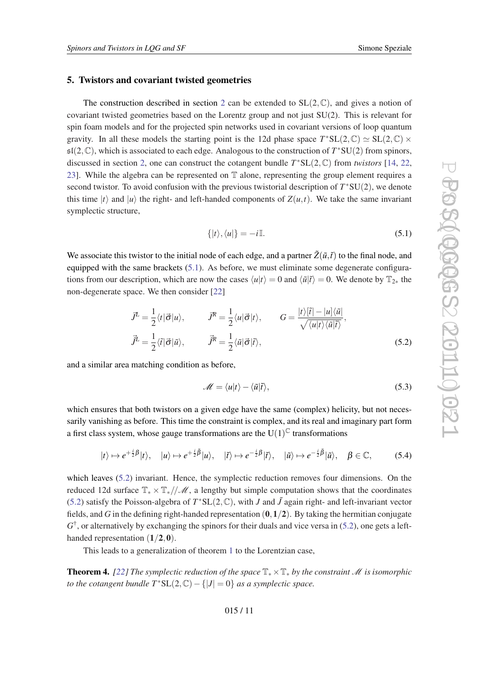#### <span id="page-10-0"></span>5. Twistors and covariant twisted geometries

The construction described in section [2](#page-1-0) can be extended to  $SL(2,\mathbb{C})$ , and gives a notion of covariant twisted geometries based on the Lorentz group and not just SU(2). This is relevant for spin foam models and for the projected spin networks used in covariant versions of loop quantum gravity. In all these models the starting point is the 12d phase space  $T^*SL(2,\mathbb{C}) \simeq SL(2,\mathbb{C}) \times$  $\mathfrak{sl}(2,\mathbb{C})$ , which is associated to each edge. Analogous to the construction of  $T^*SU(2)$  from spinors, discussed in section [2,](#page-1-0) one can construct the cotangent bundle *T* <sup>∗</sup>SL(2,C) from *twistors* [\[14](#page-14-0), [22](#page-15-0), [23](#page-15-0)]. While the algebra can be represented on T alone, representing the group element requires a second twistor. To avoid confusion with the previous twistorial description of  $T^*SU(2)$ , we denote this time  $|t\rangle$  and  $|u\rangle$  the right- and left-handed components of  $Z(u,t)$ . We take the same invariant symplectic structure,

$$
\{|t\rangle, \langle u|\} = -i\mathbb{I}.\tag{5.1}
$$

We associate this twistor to the initial node of each edge, and a partner  $\tilde{Z}(\tilde{u},\tilde{t})$  to the final node, and equipped with the same brackets (5.1). As before, we must eliminate some degenerate configurations from our description, which are now the cases  $\langle u|t \rangle = 0$  and  $\langle \tilde{u}|\tilde{t} \rangle = 0$ . We denote by  $\mathbb{T}_{2*}$  the non-degenerate space. We then consider [\[22](#page-15-0)]

$$
\vec{J}^{\mathcal{I}} = \frac{1}{2} \langle t | \vec{\sigma} | u \rangle, \qquad \vec{J}^{\mathcal{R}} = \frac{1}{2} \langle u | \vec{\sigma} | t \rangle, \qquad G = \frac{|t \rangle [\tilde{t}| - |u] \langle \tilde{u}|}{\sqrt{\langle u | t \rangle \langle \tilde{u} | \tilde{t} \rangle}},
$$

$$
\vec{J}^{\mathcal{I}} = \frac{1}{2} \langle \tilde{t} | \vec{\sigma} | \tilde{u} \rangle, \qquad \vec{J}^{\mathcal{R}} = \frac{1}{2} \langle \tilde{u} | \vec{\sigma} | \tilde{t} \rangle,
$$
(5.2)

and a similar area matching condition as before,

$$
\mathscr{M} = \langle u|t\rangle - \langle \tilde{u}|\tilde{t}\rangle, \tag{5.3}
$$

which ensures that both twistors on a given edge have the same (complex) helicity, but not necessarily vanishing as before. This time the constraint is complex, and its real and imaginary part form a first class system, whose gauge transformations are the U(1) $^{\mathbb{C}}$  transformations

$$
|t\rangle \mapsto e^{+\frac{i}{2}\beta}|t\rangle, \quad |u\rangle \mapsto e^{+\frac{i}{2}\overline{\beta}}|u\rangle, \quad |\tilde{t}\rangle \mapsto e^{-\frac{i}{2}\beta}|\tilde{t}\rangle, \quad |\tilde{u}\rangle \mapsto e^{-\frac{i}{2}\overline{\beta}}|\tilde{u}\rangle, \quad \beta \in \mathbb{C}, \tag{5.4}
$$

which leaves (5.2) invariant. Hence, the symplectic reduction removes four dimensions. On the reduced 12d surface  $\mathbb{T}_* \times \mathbb{T}_*/\mathcal{M}$ , a lengthy but simple computation shows that the coordinates (5.2) satisfy the Poisson-algebra of  $T^*SL(2,\mathbb{C})$ , with *J* and  $\tilde{J}$  again right- and left-invariant vector fields, and *G* in the defining right-handed representation  $(0,1/2)$ . By taking the hermitian conjugate  $G^{\dagger}$ , or alternatively by exchanging the spinors for their duals and vice versa in (5.2), one gets a lefthanded representation  $(1/2,0)$ .

This leads to a generalization of theorem [1](#page-3-0) to the Lorentzian case,

Theorem 4. *[[22\]](#page-15-0) The symplectic reduction of the space* T∗×T<sup>∗</sup> *by the constraint* M *is isomorphic to the cotangent bundle*  $T^*SL(2,\mathbb{C}) - \{|J| = 0\}$  *as a symplectic space.*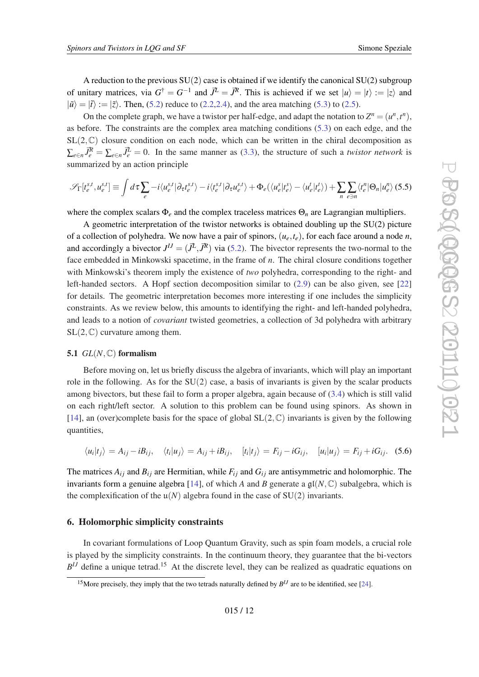<span id="page-11-0"></span>A reduction to the previous  $SU(2)$  case is obtained if we identify the canonical  $SU(2)$  subgroup of unitary matrices, via  $G^{\dagger} = G^{-1}$  and  $\vec{J}^{\perp} = \vec{J}^{\mathcal{R}}$ . This is achieved if we set  $|u\rangle = |t\rangle := |z\rangle$  and  $|\tilde{u}\rangle = |\tilde{t}\rangle := |\tilde{z}\rangle$ . Then, ([5.2](#page-10-0)) reduce to [\(2.2,2.4](#page-2-0)), and the area matching ([5.3](#page-10-0)) to ([2.5](#page-2-0)).

On the complete graph, we have a twistor per half-edge, and adapt the notation to  $Z^n = (u^n, t^n)$ , as before. The constraints are the complex area matching conditions [\(5.3](#page-10-0)) on each edge, and the  $SL(2,\mathbb{C})$  closure condition on each node, which can be written in the chiral decomposition as  $\sum_{e \in n} \vec{J}_e^R = \sum_{e \in n} \vec{J}_e^L = 0$ . In the same manner as ([3.3](#page-5-0)), the structure of such a *twistor network* is summarized by an action principle

$$
\mathcal{S}_{\Gamma}[t_e^{s,t}, u_e^{s,t}] \equiv \int d\tau \sum_e -i \langle u_e^{s,t} | \partial_{\tau} t_e^{s,t} \rangle - i \langle t_e^{s,t} | \partial_{\tau} u_e^{s,t} \rangle + \Phi_e (\langle u_e^s | t_e^s \rangle - \langle u_e^t | t_e^t \rangle) + \sum_n \sum_{e \ni n} \langle t_e^n | \Theta_n | u_e^n \rangle (5.5)
$$

where the complex scalars Φ*<sup>e</sup>* and the complex traceless matrices Θ*<sup>n</sup>* are Lagrangian multipliers.

A geometric interpretation of the twistor networks is obtained doubling up the SU(2) picture of a collection of polyhedra. We now have a pair of spinors,  $(u_e, t_e)$ , for each face around a node *n*, and accordingly a bivector  $J^{IJ} = (\vec{J}^{\mathcal{L}}, \vec{J}^{\mathcal{R}})$  via ([5.2](#page-10-0)). The bivector represents the two-normal to the face embedded in Minkowski spacetime, in the frame of *n*. The chiral closure conditions together with Minkowski's theorem imply the existence of *two* polyhedra, corresponding to the right- and left-handed sectors. A Hopf section decomposition similar to ([2.9](#page-3-0)) can be also given, see [\[22](#page-15-0)] for details. The geometric interpretation becomes more interesting if one includes the simplicity constraints. As we review below, this amounts to identifying the right- and left-handed polyhedra, and leads to a notion of *covariant* twisted geometries, a collection of 3d polyhedra with arbitrary  $SL(2,\mathbb{C})$  curvature among them.

#### 5.1  $GL(N,\mathbb{C})$  formalism

Before moving on, let us briefly discuss the algebra of invariants, which will play an important role in the following. As for the  $SU(2)$  case, a basis of invariants is given by the scalar products among bivectors, but these fail to form a proper algebra, again because of [\(3.4](#page-6-0)) which is still valid on each right/left sector. A solution to this problem can be found using spinors. As shown in [[14\]](#page-14-0), an (over)complete basis for the space of global  $SL(2,\mathbb{C})$  invariants is given by the following quantities,

$$
\langle u_i | t_j \rangle = A_{ij} - i B_{ij}, \quad \langle t_i | u_j \rangle = A_{ij} + i B_{ij}, \quad [t_i | t_j \rangle = F_{ij} - i G_{ij}, \quad [u_i | u_j \rangle = F_{ij} + i G_{ij}.
$$
 (5.6)

The matrices  $A_{ij}$  and  $B_{ij}$  are Hermitian, while  $F_{ij}$  and  $G_{ij}$  are antisymmetric and holomorphic. The invariants form a genuine algebra [\[14\]](#page-14-0), of which *A* and *B* generate a  $\mathfrak{gl}(N, \mathbb{C})$  subalgebra, which is the complexification of the  $\mathfrak{u}(N)$  algebra found in the case of SU(2) invariants.

#### 6. Holomorphic simplicity constraints

In covariant formulations of Loop Quantum Gravity, such as spin foam models, a crucial role is played by the simplicity constraints. In the continuum theory, they guarantee that the bi-vectors  $B<sup>IJ</sup>$  define a unique tetrad.<sup>15</sup> At the discrete level, they can be realized as quadratic equations on

<sup>&</sup>lt;sup>15</sup> More precisely, they imply that the two tetrads naturally defined by  $B<sup>IJ</sup>$  are to be identified, see [\[24](#page-15-0)].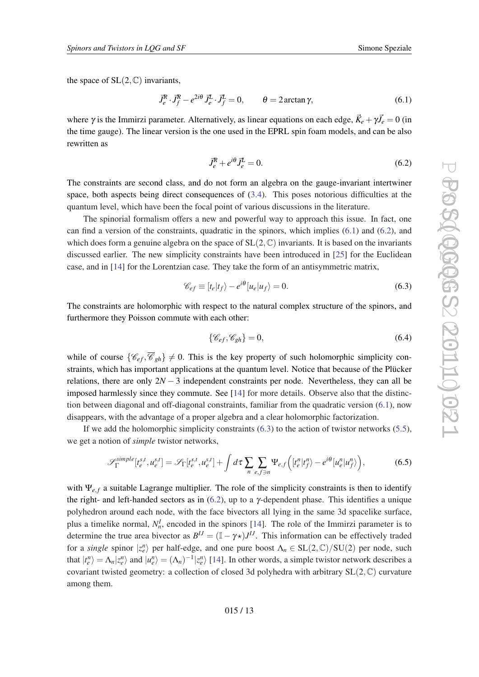<span id="page-12-0"></span>the space of  $SL(2,\mathbb{C})$  invariants,

$$
\vec{J}_e^R \cdot \vec{J}_f^R - e^{2i\theta} \vec{J}_e^L \cdot \vec{J}_f^L = 0, \qquad \theta = 2 \arctan \gamma,
$$
\n(6.1)

where  $\gamma$  is the Immirzi parameter. Alternatively, as linear equations on each edge,  $\vec{K}_e + \gamma \vec{J}_e = 0$  (in the time gauge). The linear version is the one used in the EPRL spin foam models, and can be also rewritten as

$$
\vec{J}_e^R + e^{i\theta} \vec{J}_e^L = 0. \tag{6.2}
$$

The constraints are second class, and do not form an algebra on the gauge-invariant intertwiner space, both aspects being direct consequences of ([3.4](#page-6-0)). This poses notorious difficulties at the quantum level, which have been the focal point of various discussions in the literature.

The spinorial formalism offers a new and powerful way to approach this issue. In fact, one can find a version of the constraints, quadratic in the spinors, which implies (6.1) and (6.2), and which does form a genuine algebra on the space of  $SL(2,\mathbb{C})$  invariants. It is based on the invariants discussed earlier. The new simplicity constraints have been introduced in [\[25](#page-15-0)] for the Euclidean case, and in [[14\]](#page-14-0) for the Lorentzian case. They take the form of an antisymmetric matrix,

$$
\mathcal{C}_{ef} \equiv [t_e|t_f\rangle - e^{i\theta}[u_e|u_f\rangle = 0. \tag{6.3}
$$

The constraints are holomorphic with respect to the natural complex structure of the spinors, and furthermore they Poisson commute with each other:

$$
\{\mathscr{C}_{ef}, \mathscr{C}_{gh}\} = 0,\tag{6.4}
$$

while of course  $\{\mathscr{C}_{ef}, \overline{\mathscr{C}}_{gh}\}\neq 0$ . This is the key property of such holomorphic simplicity constraints, which has important applications at the quantum level. Notice that because of the Plücker relations, there are only  $2N - 3$  independent constraints per node. Nevertheless, they can all be imposed harmlessly since they commute. See [\[14](#page-14-0)] for more details. Observe also that the distinction between diagonal and off-diagonal constraints, familiar from the quadratic version (6.1), now disappears, with the advantage of a proper algebra and a clear holomorphic factorization.

If we add the holomorphic simplicity constraints  $(6.3)$  to the action of twistor networks  $(5.5)$  $(5.5)$ , we get a notion of *simple* twistor networks,

$$
\mathcal{S}_{\Gamma}^{simple}[t_e^{s,t}, u_e^{s,t}] = \mathcal{S}_{\Gamma}[t_e^{s,t}, u_e^{s,t}] + \int d\tau \sum_n \sum_{e,f \ni n} \Psi_{e,f} \left( [t_e^n | t_f^n \rangle - e^{i\theta} [u_e^n | u_f^n \rangle \right), \tag{6.5}
$$

with Ψ<sub>e, f</sub> a suitable Lagrange multiplier. The role of the simplicity constraints is then to identify the right- and left-handed sectors as in  $(6.2)$ , up to a  $\gamma$ -dependent phase. This identifies a unique polyhedron around each node, with the face bivectors all lying in the same 3d spacelike surface, plus a timelike normal,  $N_n^I$ , encoded in the spinors [\[14](#page-14-0)]. The role of the Immirzi parameter is to determine the true area bivector as  $B^{IJ} = (\mathbb{I} - \gamma \star)J^{IJ}$ . This information can be effectively traded for a *single* spinor  $|z_e^n\rangle$  per half-edge, and one pure boost  $\Lambda_n \in SL(2,\mathbb{C})/SU(2)$  per node, such that  $|t_e^n\rangle = \Lambda_n |z_e^n\rangle$  and  $|u_e^n\rangle = (\Lambda_n)^{-1} |z_e^n\rangle$  [[14\]](#page-14-0). In other words, a simple twistor network describes a covariant twisted geometry: a collection of closed 3d polyhedra with arbitrary  $SL(2,\mathbb{C})$  curvature among them.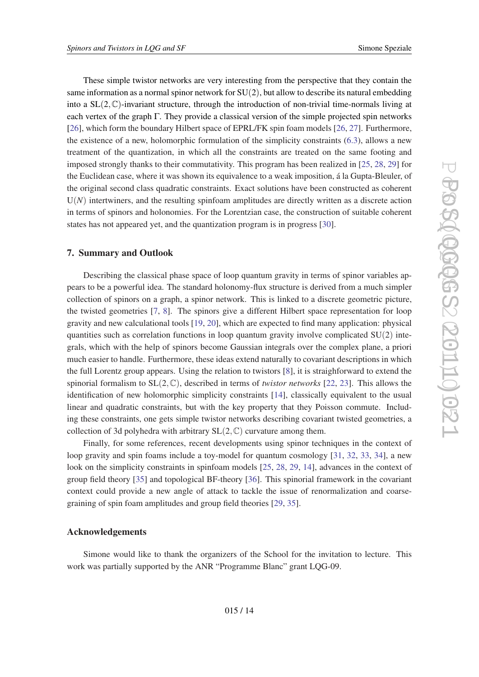These simple twistor networks are very interesting from the perspective that they contain the same information as a normal spinor network for  $SU(2)$ , but allow to describe its natural embedding into a  $SL(2,\mathbb{C})$ -invariant structure, through the introduction of non-trivial time-normals living at each vertex of the graph  $\Gamma$ . They provide a classical version of the simple projected spin networks [[26\]](#page-15-0), which form the boundary Hilbert space of EPRL/FK spin foam models [\[26](#page-15-0), [27](#page-15-0)]. Furthermore, the existence of a new, holomorphic formulation of the simplicity constraints [\(6.3\)](#page-12-0), allows a new treatment of the quantization, in which all the constraints are treated on the same footing and imposed strongly thanks to their commutativity. This program has been realized in [\[25](#page-15-0), [28,](#page-15-0) [29\]](#page-15-0) for the Euclidean case, where it was shown its equivalence to a weak imposition, á la Gupta-Bleuler, of the original second class quadratic constraints. Exact solutions have been constructed as coherent  $U(N)$  intertwiners, and the resulting spinfoam amplitudes are directly written as a discrete action in terms of spinors and holonomies. For the Lorentzian case, the construction of suitable coherent states has not appeared yet, and the quantization program is in progress [[30](#page-15-0)].

# 7. Summary and Outlook

Describing the classical phase space of loop quantum gravity in terms of spinor variables appears to be a powerful idea. The standard holonomy-flux structure is derived from a much simpler collection of spinors on a graph, a spinor network. This is linked to a discrete geometric picture, the twisted geometries [[7](#page-14-0), [8](#page-14-0)]. The spinors give a different Hilbert space representation for loop gravity and new calculational tools [\[19](#page-14-0), [20](#page-14-0)], which are expected to find many application: physical quantities such as correlation functions in loop quantum gravity involve complicated  $SU(2)$  integrals, which with the help of spinors become Gaussian integrals over the complex plane, a priori much easier to handle. Furthermore, these ideas extend naturally to covariant descriptions in which the full Lorentz group appears. Using the relation to twistors [\[8\]](#page-14-0), it is straighforward to extend the spinorial formalism to SL(2,C), described in terms of *twistor networks* [[22,](#page-15-0) [23](#page-15-0)]. This allows the identification of new holomorphic simplicity constraints [[14](#page-14-0)], classically equivalent to the usual linear and quadratic constraints, but with the key property that they Poisson commute. Including these constraints, one gets simple twistor networks describing covariant twisted geometries, a collection of 3d polyhedra with arbitrary  $SL(2,\mathbb{C})$  curvature among them.

Finally, for some references, recent developments using spinor techniques in the context of loop gravity and spin foams include a toy-model for quantum cosmology [\[31](#page-15-0), [32](#page-15-0), [33](#page-15-0), [34](#page-15-0)], a new look on the simplicity constraints in spinfoam models [[25,](#page-15-0) [28](#page-15-0), [29,](#page-15-0) [14\]](#page-14-0), advances in the context of group field theory [[35\]](#page-15-0) and topological BF-theory [[36](#page-15-0)]. This spinorial framework in the covariant context could provide a new angle of attack to tackle the issue of renormalization and coarsegraining of spin foam amplitudes and group field theories [[29](#page-15-0), [35\]](#page-15-0).

## Acknowledgements

Simone would like to thank the organizers of the School for the invitation to lecture. This work was partially supported by the ANR "Programme Blanc" grant LQG-09.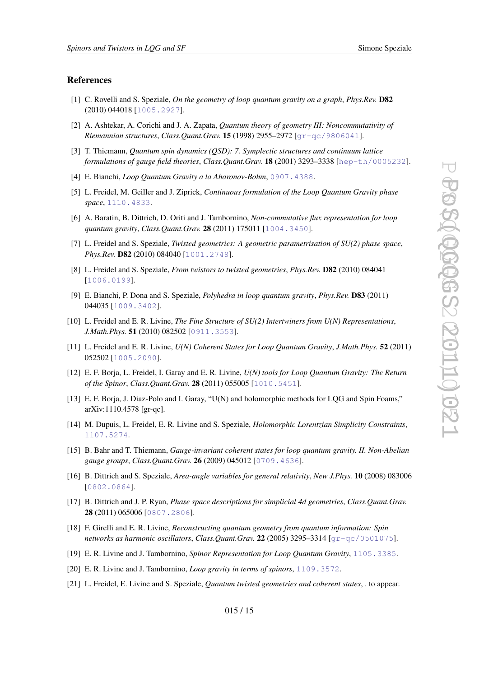#### <span id="page-14-0"></span>References

- [1] C. Rovelli and S. Speziale, *On the geometry of loop quantum gravity on a graph*, *Phys.Rev.* D82 (2010) 044018 [[1005.2927](http://arXiv.org/abs/1005.2927)].
- [2] A. Ashtekar, A. Corichi and J. A. Zapata, *Quantum theory of geometry III: Noncommutativity of Riemannian structures*, *Class.Quant.Grav.* 15 (1998) 2955–2972 [[gr-qc/9806041](http://arXiv.org/abs/gr-qc/9806041)].
- [3] T. Thiemann, *Quantum spin dynamics (QSD): 7. Symplectic structures and continuum lattice formulations of gauge field theories*, *Class.Quant.Grav.* 18 (2001) 3293–3338 [[hep-th/0005232](http://arXiv.org/abs/hep-th/0005232)].
- [4] E. Bianchi, *Loop Quantum Gravity a la Aharonov-Bohm*, [0907.4388](http://arXiv.org/abs/0907.4388).
- [5] L. Freidel, M. Geiller and J. Ziprick, *Continuous formulation of the Loop Quantum Gravity phase space*, [1110.4833](http://arXiv.org/abs/1110.4833).
- [6] A. Baratin, B. Dittrich, D. Oriti and J. Tambornino, *Non-commutative flux representation for loop quantum gravity*, *Class.Quant.Grav.* 28 (2011) 175011 [[1004.3450](http://arXiv.org/abs/1004.3450)].
- [7] L. Freidel and S. Speziale, *Twisted geometries: A geometric parametrisation of SU(2) phase space*, *Phys.Rev.* **D82** (2010) 084040 [[1001.2748](http://arXiv.org/abs/1001.2748)].
- [8] L. Freidel and S. Speziale, *From twistors to twisted geometries*, *Phys.Rev.* D82 (2010) 084041 [[1006.0199](http://arXiv.org/abs/1006.0199)].
- [9] E. Bianchi, P. Dona and S. Speziale, *Polyhedra in loop quantum gravity*, *Phys.Rev.* D83 (2011) 044035 [[1009.3402](http://arXiv.org/abs/1009.3402)].
- [10] L. Freidel and E. R. Livine, *The Fine Structure of SU(2) Intertwiners from U(N) Representations*, *J.Math.Phys.* 51 (2010) 082502 [[0911.3553](http://arXiv.org/abs/0911.3553)].
- [11] L. Freidel and E. R. Livine, *U(N) Coherent States for Loop Quantum Gravity*, *J.Math.Phys.* 52 (2011) 052502 [[1005.2090](http://arXiv.org/abs/1005.2090)].
- [12] E. F. Borja, L. Freidel, I. Garay and E. R. Livine, *U(N) tools for Loop Quantum Gravity: The Return of the Spinor*, *Class.Quant.Grav.* 28 (2011) 055005 [[1010.5451](http://arXiv.org/abs/1010.5451)].
- [13] E. F. Borja, J. Diaz-Polo and I. Garay, "U(N) and holomorphic methods for LQG and Spin Foams," arXiv:1110.4578 [gr-qc].
- [14] M. Dupuis, L. Freidel, E. R. Livine and S. Speziale, *Holomorphic Lorentzian Simplicity Constraints*, [1107.5274](http://arXiv.org/abs/1107.5274).
- [15] B. Bahr and T. Thiemann, *Gauge-invariant coherent states for loop quantum gravity. II. Non-Abelian gauge groups*, *Class.Quant.Grav.* 26 (2009) 045012 [[0709.4636](http://arXiv.org/abs/0709.4636)].
- [16] B. Dittrich and S. Speziale, *Area-angle variables for general relativity*, *New J.Phys.* 10 (2008) 083006 [[0802.0864](http://arXiv.org/abs/0802.0864)].
- [17] B. Dittrich and J. P. Ryan, *Phase space descriptions for simplicial 4d geometries*, *Class.Quant.Grav.* 28 (2011) 065006 [[0807.2806](http://arXiv.org/abs/0807.2806)].
- [18] F. Girelli and E. R. Livine, *Reconstructing quantum geometry from quantum information: Spin networks as harmonic oscillators*, *Class.Quant.Grav.* 22 (2005) 3295–3314 [[gr-qc/0501075](http://arXiv.org/abs/gr-qc/0501075)].
- [19] E. R. Livine and J. Tambornino, *Spinor Representation for Loop Quantum Gravity*, [1105.3385](http://arXiv.org/abs/1105.3385).
- [20] E. R. Livine and J. Tambornino, *Loop gravity in terms of spinors*, [1109.3572](http://arXiv.org/abs/1109.3572).
- [21] L. Freidel, E. Livine and S. Speziale, *Quantum twisted geometries and coherent states*, . to appear.